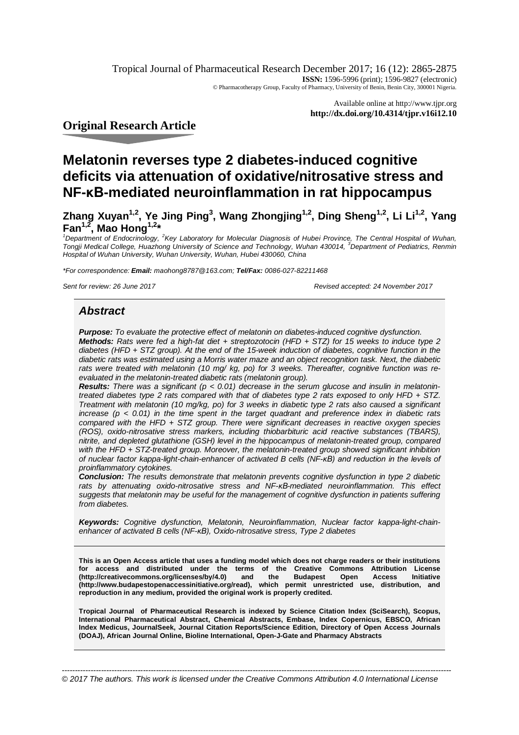Tropical Journal of Pharmaceutical Research December 2017; 16 (12): 2865-2875 **ISSN:** 1596-5996 (print); 1596-9827 (electronic) © Pharmacotherapy Group, Faculty of Pharmacy, University of Benin, Benin City, 300001 Nigeria.

> Available online at <http://www.tjpr.org> **<http://dx.doi.org/10.4314/tjpr.v16i12.10>**

**Original Research Article**

# **Melatonin reverses type 2 diabetes-induced cognitive deficits via attenuation of oxidative/nitrosative stress and NF-κB-mediated neuroinflammation in rat hippocampus**

**Zhang Xuyan1,2, Ye Jing Ping<sup>3</sup> , Wang Zhongjing1,2, Ding Sheng1,2, Li Li1,2, Yang Fan1,2, Mao Hong1,2\***

*<sup>1</sup>Department of Endocrinology, <sup>2</sup> Key Laboratory for Molecular Diagnosis of Hubei Province, The Central Hospital of Wuhan, Tongji Medical College, Huazhong University of Science and Technology, Wuhan 430014, <sup>3</sup>Department of Pediatrics, Renmin Hospital of Wuhan University, Wuhan University, Wuhan, Hubei 430060, China*

*\*For correspondence: Email: [maohong8787@163.com;](mailto:maohong8787@163.com;) Tel/Fax: 0086-027-82211468*

*Sent for review: 26 June 2017 Revised accepted: 24 November 2017*

# *Abstract*

*Purpose: To evaluate the protective effect of melatonin on diabetes-induced cognitive dysfunction. Methods: Rats were fed a high-fat diet + streptozotocin (HFD + STZ) for 15 weeks to induce type 2 diabetes (HFD + STZ group). At the end of the 15-week induction of diabetes, cognitive function in the diabetic rats was estimated using a Morris water maze and an object recognition task. Next, the diabetic rats were treated with melatonin (10 mg/ kg, po) for 3 weeks. Thereafter, cognitive function was reevaluated in the melatonin-treated diabetic rats (melatonin group).*

*Results: There was a significant (p < 0.01) decrease in the serum glucose and insulin in melatonintreated diabetes type 2 rats compared with that of diabetes type 2 rats exposed to only HFD + STZ. Treatment with melatonin (10 mg/kg, po) for 3 weeks in diabetic type 2 rats also caused a significant increase (p < 0.01) in the time spent in the target quadrant and preference index in diabetic rats compared with the HFD + STZ group. There were significant decreases in reactive oxygen species (ROS), oxido-nitrosative stress markers, including thiobarbituric acid reactive substances (TBARS), nitrite, and depleted glutathione (GSH) level in the hippocampus of melatonin-treated group, compared with the HFD + STZ-treated group. Moreover, the melatonin-treated group showed significant inhibition of nuclear factor kappa-light-chain-enhancer of activated B cells (NF-κB) and reduction in the levels of proinflammatory cytokines.* 

*Conclusion: The results demonstrate that melatonin prevents cognitive dysfunction in type 2 diabetic rats by attenuating oxido-nitrosative stress and NF-κB-mediated neuroinflammation. This effect suggests that melatonin may be useful for the management of cognitive dysfunction in patients suffering from diabetes.* 

*Keywords: Cognitive dysfunction, Melatonin, Neuroinflammation, Nuclear factor kappa-light-chainenhancer of activated B cells (NF-κB), Oxido-nitrosative stress, Type 2 diabetes*

**This is an Open Access article that uses a funding model which does not charge readers or their institutions for access and distributed under the terms of the Creative Commons Attribution License [\(http://creativecommons.org/licenses/by/4.0\)](http://creativecommons.org/licenses/by/4.0)) and the Budapest Open Access Initiative [\(http://www.budapestopenaccessinitiative.org/read\),](http://www.budapestopenaccessinitiative.org/read),) which permit unrestricted use, distribution, and reproduction in any medium, provided the original work is properly credited.**

**Tropical Journal of Pharmaceutical Research is indexed by Science Citation Index (SciSearch), Scopus, International Pharmaceutical Abstract, Chemical Abstracts, Embase, Index Copernicus, EBSCO, African Index Medicus, JournalSeek, Journal Citation Reports/Science Edition, Directory of Open Access Journals (DOAJ), African Journal Online, Bioline International, Open-J-Gate and Pharmacy Abstracts**

*----------------------------------------------------------------------------------------------------------------------------------------------------- © 2017 The authors. This work is licensed under the Creative Commons Attribution 4.0 International License*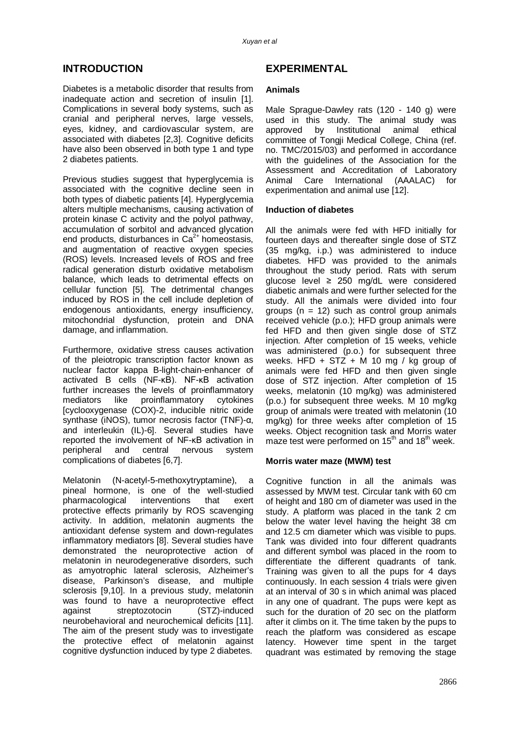# **INTRODUCTION**

Diabetes is a metabolic disorder that results from inadequate action and secretion of insulin [1]. Complications in several body systems, such as cranial and peripheral nerves, large vessels, eyes, kidney, and cardiovascular system, are associated with diabetes [2,3]. Cognitive deficits have also been observed in both type 1 and type 2 diabetes patients.

Previous studies suggest that hyperglycemia is associated with the cognitive decline seen in both types of diabetic patients [4]. Hyperglycemia alters multiple mechanisms, causing activation of protein kinase C activity and the polyol pathway, accumulation of sorbitol and advanced glycation end products, disturbances in  $Ca^{2+}$  homeostasis, and augmentation of reactive oxygen species (ROS) levels. Increased levels of ROS and free radical generation disturb oxidative metabolism balance, which leads to detrimental effects on cellular function [5]. The detrimental changes induced by ROS in the cell include depletion of endogenous antioxidants, energy insufficiency, mitochondrial dysfunction, protein and DNA damage, and inflammation.

Furthermore, oxidative stress causes activation of the pleiotropic transcription factor known as nuclear factor kappa B-light-chain-enhancer of activated B cells (NF-κB). NF-κB activation further increases the levels of proinflammatory<br>mediators like proinflammatory cytokines mediators like proinflammatory [cyclooxygenase (COX)-2, inducible nitric oxide synthase (iNOS), tumor necrosis factor (TNF)-α, and interleukin (IL)-6]. Several studies have reported the involvement of NF-κB activation in peripheral and central nervous system complications of diabetes [6,7].

Melatonin (N-acetyl-5-methoxytryptamine), a pineal hormone, is one of the well-studied pharmacological interventions that exert protective effects primarily by ROS scavenging activity. In addition, melatonin augments the antioxidant defense system and down-regulates inflammatory mediators [8]. Several studies have demonstrated the neuroprotective action of melatonin in neurodegenerative disorders, such as amyotrophic lateral sclerosis, Alzheimer's disease, Parkinson's disease, and multiple sclerosis [9,10]. In a previous study, melatonin was found to have a neuroprotective effect against streptozotocin (STZ)-induced neurobehavioral and neurochemical deficits [11]. The aim of the present study was to investigate the protective effect of melatonin against cognitive dysfunction induced by type 2 diabetes.

# **EXPERIMENTAL**

### **Animals**

Male Sprague-Dawley rats (120 - 140 g) were used in this study. The animal study was approved by Institutional animal ethical committee of Tongji Medical College, China (ref. no. TMC/2015/03) and performed in accordance with the guidelines of the Association for the Assessment and Accreditation of Laboratory Animal Care International (AAALAC) for experimentation and animal use [12].

# **Induction of diabetes**

All the animals were fed with HFD initially for fourteen days and thereafter single dose of STZ (35 mg/kg, i.p.) was administered to induce diabetes. HFD was provided to the animals throughout the study period. Rats with serum glucose level ≥ 250 mg/dL were considered diabetic animals and were further selected for the study. All the animals were divided into four groups ( $n = 12$ ) such as control group animals received vehicle (p.o.); HFD group animals were fed HFD and then given single dose of STZ injection. After completion of 15 weeks, vehicle was administered (p.o.) for subsequent three weeks. HFD +  $STZ + M$  10 mg / kg group of animals were fed HFD and then given single dose of STZ injection. After completion of 15 weeks, melatonin (10 mg/kg) was administered (p.o.) for subsequent three weeks. M 10 mg/kg group of animals were treated with melatonin (10 mg/kg) for three weeks after completion of 15 weeks. Object recognition task and Morris water maze test were performed on  $15<sup>th</sup>$  and  $18<sup>th</sup>$  week.

### **Morris water maze (MWM) test**

Cognitive function in all the animals was assessed by MWM test. Circular tank with 60 cm of height and 180 cm of diameter was used in the study. A platform was placed in the tank 2 cm below the water level having the height 38 cm and 12.5 cm diameter which was visible to pups. Tank was divided into four different quadrants and different symbol was placed in the room to differentiate the different quadrants of tank. Training was given to all the pups for 4 days continuously. In each session 4 trials were given at an interval of 30 s in which animal was placed in any one of quadrant. The pups were kept as such for the duration of 20 sec on the platform after it climbs on it. The time taken by the pups to reach the platform was considered as escape latency. However time spent in the target quadrant was estimated by removing the stage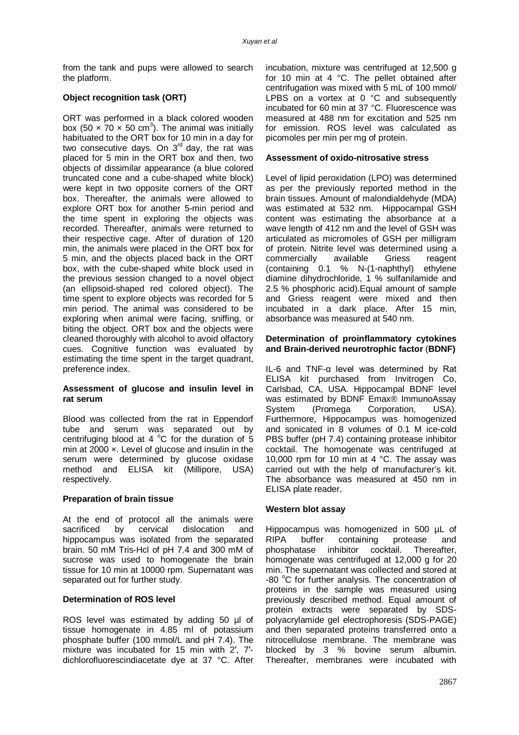from the tank and pups were allowed to search the platform.

# **Object recognition task (ORT)**

ORT was performed in a black colored wooden box (50  $\times$  70  $\times$  50 cm<sup>3</sup>). The animal was initially habituated to the ORT box for 10 min in a day for two consecutive days. On  $3^{rd}$  day, the rat was placed for 5 min in the ORT box and then, two objects of dissimilar appearance (a blue colored truncated cone and a cube-shaped white block) were kept in two opposite corners of the ORT box. Thereafter, the animals were allowed to explore ORT box for another 5-min period and the time spent in exploring the objects was recorded. Thereafter, animals were returned to their respective cage. After of duration of 120 min, the animals were placed in the ORT box for 5 min, and the objects placed back in the ORT box, with the cube-shaped white block used in the previous session changed to a novel object (an ellipsoid-shaped red colored object). The time spent to explore objects was recorded for 5 min period. The animal was considered to be exploring when animal were facing, sniffing, or biting the object. ORT box and the objects were cleaned thoroughly with alcohol to avoid olfactory cues. Cognitive function was evaluated by estimating the time spent in the target quadrant, preference index.

# **Assessment of glucose and insulin level in rat serum**

Blood was collected from the rat in Eppendorf tube and serum was separated out by centrifuging blood at 4  $^{\circ}$ C for the duration of 5 min at  $2000 \times$ . Level of glucose and insulin in the serum were determined by glucose oxidase method and ELISA kit (Millipore, USA) respectively.

### **Preparation of brain tissue**

At the end of protocol all the animals were sacrificed by cervical dislocation and hippocampus was isolated from the separated brain. 50 mM Tris-Hcl of pH 7.4 and 300 mM of sucrose was used to homogenate the brain tissue for 10 min at 10000 rpm. Supernatant was separated out for further study.

# **Determination of ROS level**

ROS level was estimated by adding 50 µl of tissue homogenate in 4.85 ml of potassium phosphate buffer (100 mmol/L and pH 7.4). The mixture was incubated for 15 min with 2′, 7′ dichlorofluorescindiacetate dye at 37 °C. After incubation, mixture was centrifuged at 12,500 g for 10 min at 4 °C. The pellet obtained after centrifugation was mixed with 5 mL of 100 mmol/ LPBS on a vortex at 0 °C and subsequently incubated for 60 min at 37 °C. Fluorescence was measured at 488 nm for excitation and 525 nm for emission. ROS level was calculated as picomoles per min per mg of protein.

# **Assessment of oxido-nitrosative stress**

Level of lipid peroxidation (LPO) was determined as per the previously reported method in the brain tissues. Amount of malondialdehyde (MDA) was estimated at 532 nm. Hippocampal GSH content was estimating the absorbance at a wave length of 412 nm and the level of GSH was articulated as micromoles of GSH per milligram of protein. Nitrite level was determined using a<br>commercially available Griess reagent commercially available Griess reagent (containing 0.1 % N-(1-naphthyl) ethylene diamine dihydrochloride, 1 % sulfanilamide and 2.5 % phosphoric acid).Equal amount of sample and Griess reagent were mixed and then incubated in a dark place. After 15 min, absorbance was measured at 540 nm.

#### **Determination of proinflammatory cytokines and Brain-derived neurotrophic factor** (**BDNF)**

IL-6 and TNF-α level was determined by Rat ELISA kit purchased from Invitrogen Co, Carlsbad, CA, USA. Hippocampal BDNF level was estimated by BDNF Emax® ImmunoAssay System (Promega Corporation, USA). Furthermore, Hippocampus was homogenized and sonicated in 8 volumes of 0.1 M ice-cold PBS buffer (pH 7.4) containing protease inhibitor cocktail. The homogenate was centrifuged at 10,000 rpm for 10 min at 4 °C. The assay was carried out with the help of manufacturer's kit. The absorbance was measured at 450 nm in ELISA plate reader.

### **Western blot assay**

Hippocampus was homogenized in 500 µL of RIPA buffer containing protease and phosphatase inhibitor cocktail. Thereafter, homogenate was centrifuged at 12,000 g for 20 min. The supernatant was collected and stored at -80 °C for further analysis. The concentration of proteins in the sample was measured using previously described method. Equal amount of protein extracts were separated by SDSpolyacrylamide gel electrophoresis (SDS-PAGE) and then separated proteins transferred onto a nitrocellulose membrane. The membrane was blocked by 3 % bovine serum albumin. Thereafter, membranes were incubated with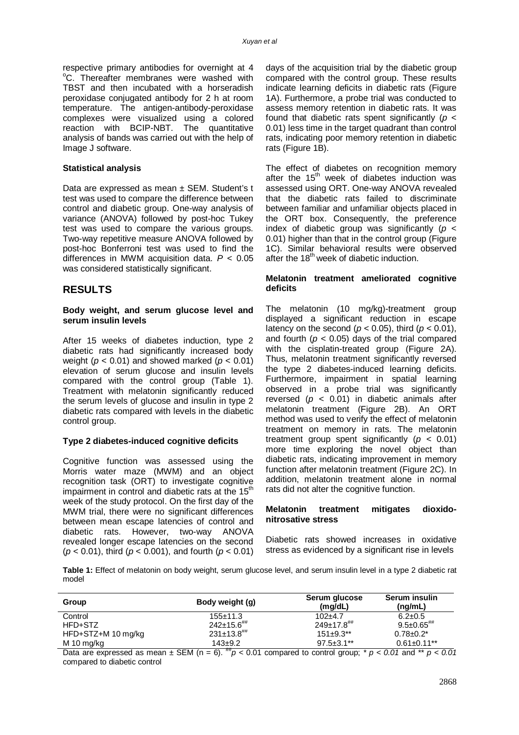respective primary antibodies for overnight at 4 <sup>o</sup>C. Thereafter membranes were washed with TBST and then incubated with a horseradish peroxidase conjugated antibody for 2 h at room temperature. The antigen-antibody-peroxidase complexes were visualized using a colored reaction with BCIP-NBT. The quantitative analysis of bands was carried out with the help of Image J software.

#### **Statistical analysis**

Data are expressed as mean ± SEM. Student's t test was used to compare the difference between control and diabetic group. One-way analysis of variance (ANOVA) followed by post-hoc Tukey test was used to compare the various groups. Two-way repetitive measure ANOVA followed by post-hoc Bonferroni test was used to find the differences in MWM acquisition data. *P* < 0.05 was considered statistically significant.

# **RESULTS**

#### **Body weight, and serum glucose level and serum insulin levels**

After 15 weeks of diabetes induction, type 2 diabetic rats had significantly increased body weight (*p* < 0.01) and showed marked (*p* < 0.01) elevation of serum glucose and insulin levels compared with the control group (Table 1). Treatment with melatonin significantly reduced the serum levels of glucose and insulin in type 2 diabetic rats compared with levels in the diabetic control group.

### **Type 2 diabetes-induced cognitive deficits**

Cognitive function was assessed using the Morris water maze (MWM) and an object recognition task (ORT) to investigate cognitive impairment in control and diabetic rats at the 15<sup>th</sup> week of the study protocol. On the first day of the MWM trial, there were no significant differences between mean escape latencies of control and diabetic rats. However, two-way ANOVA revealed longer escape latencies on the second (*p* < 0.01), third (*p* < 0.001), and fourth (*p* < 0.01)

days of the acquisition trial by the diabetic group compared with the control group. These results indicate learning deficits in diabetic rats (Figure 1A). Furthermore, a probe trial was conducted to assess memory retention in diabetic rats. It was found that diabetic rats spent significantly (*p* < 0.01) less time in the target quadrant than control rats, indicating poor memory retention in diabetic rats (Figure 1B).

The effect of diabetes on recognition memory after the 15<sup>th</sup> week of diabetes induction was assessed using ORT. One-way ANOVA revealed that the diabetic rats failed to discriminate between familiar and unfamiliar objects placed in the ORT box. Consequently, the preference index of diabetic group was significantly (*p* < 0.01) higher than that in the control group (Figure 1C). Similar behavioral results were observed after the  $18<sup>th</sup>$  week of diabetic induction.

#### **Melatonin treatment ameliorated cognitive deficits**

The melatonin (10 mg/kg)-treatment group displayed a significant reduction in escape latency on the second ( $p < 0.05$ ), third ( $p < 0.01$ ), and fourth  $(p < 0.05)$  days of the trial compared with the cisplatin-treated group (Figure 2A). Thus, melatonin treatment significantly reversed the type 2 diabetes-induced learning deficits. Furthermore, impairment in spatial learning observed in a probe trial was significantly reversed (*p <* 0.01) in diabetic animals after melatonin treatment (Figure 2B). An ORT method was used to verify the effect of melatonin treatment on memory in rats. The melatonin treatment group spent significantly (*p <* 0.01) more time exploring the novel object than diabetic rats, indicating improvement in memory function after melatonin treatment (Figure 2C). In addition, melatonin treatment alone in normal rats did not alter the cognitive function.

#### **Melatonin treatment mitigates dioxidonitrosative stress**

Diabetic rats showed increases in oxidative stress as evidenced by a significant rise in levels

**Table 1:** Effect of melatonin on body weight, serum glucose level, and serum insulin level in a type 2 diabetic rat model

| Group              | Body weight (g)              | Serum glucose<br>(mq/dL)     | Serum insulin<br>(nq/mL)     |
|--------------------|------------------------------|------------------------------|------------------------------|
| Control            | $155+11.3$                   | $102+4.7$                    | $6.2 \pm 0.5$                |
| HFD+STZ            | $242 \pm 15.6$ <sup>##</sup> | $249 \pm 17.8$ <sup>##</sup> | $9.5 \pm 0.65$ <sup>##</sup> |
| HFD+STZ+M 10 mg/kg | $231\pm13.8$ <sup>##</sup>   | $151\pm9.3**$                | $0.78 \pm 0.2^*$             |
| M 10 mg/kg         | $143 + 9.2$                  | $97.5 \pm 3.1$ **            | $0.61 \pm 0.11$ **           |

Data are expressed as mean  $\pm$  SEM (n = 6). <sup>##</sup>*p* < 0.01 compared to control group;  $*$  *p* < 0.01 and  $*$  *p* < 0.01 compared to diabetic control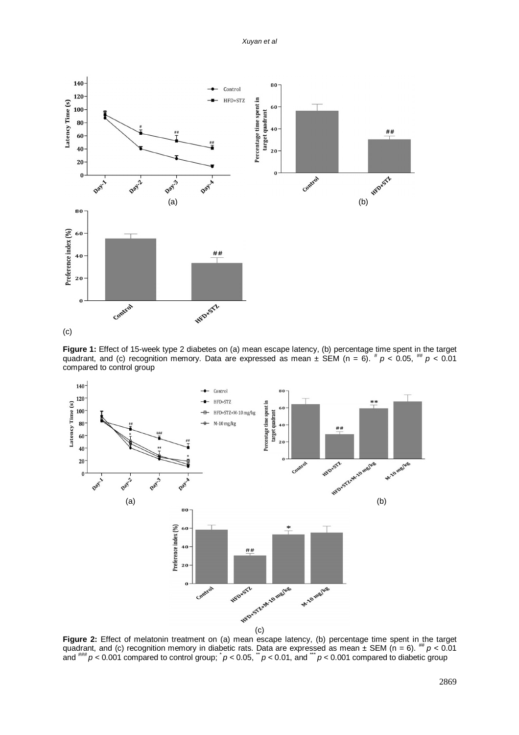#### *Xuyan et al*



**Figure 1:** Effect of 15-week type 2 diabetes on (a) mean escape latency, (b) percentage time spent in the target quadrant, and (c) recognition memory. Data are expressed as mean  $\pm$  SEM (n = 6).  $^{\#}p$  < 0.05,  $^{\#}p$  < 0.01 compared to control group



Figure 2: Effect of melatonin treatment on (a) mean escape latency, (b) percentage time spent in the target quadrant, and (c) recognition memory in diabetic rats. Data are expressed as mean  $\pm$  SEM (n = 6). <sup>##</sup>  $p$  < 0.01 and  $^{\# \#}$  *p* < 0.001 compared to control group;  $^*$  *p* < 0.05,  $^*$  *p* < 0.01, and  $^*$  *p* < 0.001 compared to diabetic group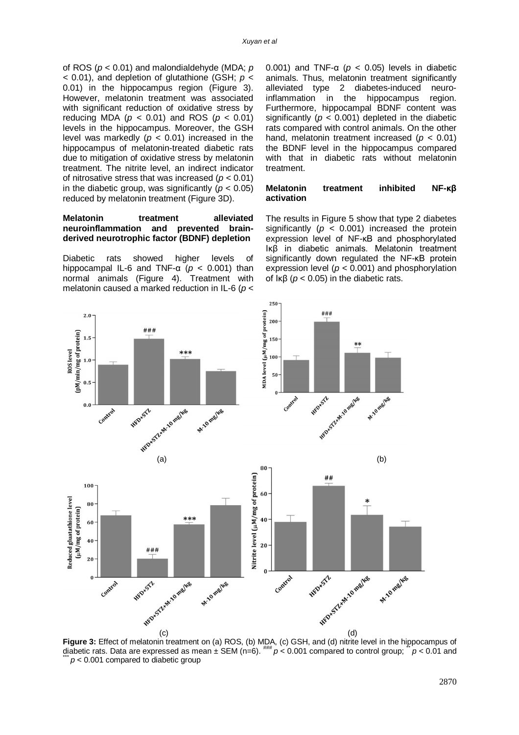of ROS (*p <* 0.01) and malondialdehyde (MDA; *p <* 0.01), and depletion of glutathione (GSH; *p <*  0.01) in the hippocampus region (Figure 3). However, melatonin treatment was associated with significant reduction of oxidative stress by reducing MDA (*p <* 0.01) and ROS (*p <* 0.01) levels in the hippocampus. Moreover, the GSH level was markedly  $(p < 0.01)$  increased in the hippocampus of melatonin-treated diabetic rats due to mitigation of oxidative stress by melatonin treatment. The nitrite level, an indirect indicator of nitrosative stress that was increased (*p <* 0.01) in the diabetic group, was significantly  $(p < 0.05)$ reduced by melatonin treatment (Figure 3D).

#### **Melatonin treatment** alleviated **neuroinflammation and prevented brainderived neurotrophic factor (BDNF) depletion**

Diabetic rats showed higher levels of hippocampal IL-6 and TNF-α (*p <* 0.001) than normal animals (Figure 4). Treatment with melatonin caused a marked reduction in IL-6 (*p <*  0.001) and TNF-α (*p <* 0.05) levels in diabetic animals. Thus, melatonin treatment significantly alleviated type 2 diabetes-induced neuroinflammation in the hippocampus region. Furthermore, hippocampal BDNF content was significantly ( $p < 0.001$ ) depleted in the diabetic rats compared with control animals. On the other hand, melatonin treatment increased (*p <* 0.01) the BDNF level in the hippocampus compared with that in diabetic rats without melatonin treatment.

#### **Melatonin treatment inhibited NF-κβ activation**

The results in Figure 5 show that type 2 diabetes significantly ( $p < 0.001$ ) increased the protein expression level of NF-κB and phosphorylated Iκβ in diabetic animals. Melatonin treatment significantly down regulated the NF-κB protein expression level (*p <* 0.001) and phosphorylation of Iκβ (*p <* 0.05) in the diabetic rats.



250

**Figure 3:** Effect of melatonin treatment on (a) ROS, (b) MDA, (c) GSH, and (d) nitrite level in the hippocampus of diabetic rats. Data are expressed as mean  $\pm$  SEM (n=6).  $^{###}_{#p}$   $> 0.001$  compared to control group;  $p < 0.01$  and  $p < 0.001$  compared to diabetic group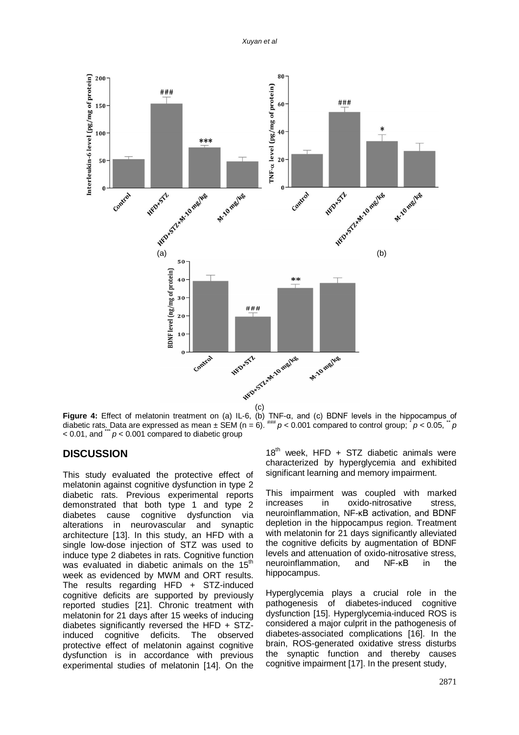*Xuyan et al*



**Figure 4:** Effect of melatonin treatment on (a) IL-6, (b) TNF-α, and (c) BDNF levels in the hippocampus of diabetic rats. Data are expressed as mean  $\pm$  SEM (n = 6).  $^{***}$   $p < 0.001$  compared to control group;  $p < 0.05$ ,  $p > 0.05$ ,  $p > 0.05$  $<$  0.01, and  $\dddot{p}$   $<$  0.001 compared to diabetic group

# **DISCUSSION**

This study evaluated the protective effect of melatonin against cognitive dysfunction in type 2 diabetic rats. Previous experimental reports demonstrated that both type 1 and type 2 diabetes cause cognitive dysfunction via alterations in neurovascular and synaptic architecture [13]. In this study, an HFD with a single low-dose injection of STZ was used to induce type 2 diabetes in rats. Cognitive function was evaluated in diabetic animals on the  $15<sup>th</sup>$ week as evidenced by MWM and ORT results. The results regarding HFD + STZ-induced cognitive deficits are supported by previously reported studies [21]. Chronic treatment with melatonin for 21 days after 15 weeks of inducing diabetes significantly reversed the HFD + STZinduced cognitive deficits. The observed protective effect of melatonin against cognitive dysfunction is in accordance with previous experimental studies of melatonin [14]. On the

 $18<sup>th</sup>$  week, HFD + STZ diabetic animals were characterized by hyperglycemia and exhibited significant learning and memory impairment.

This impairment was coupled with marked increases in oxido-nitrosative stress, neuroinflammation, NF-κB activation, and BDNF depletion in the hippocampus region. Treatment with melatonin for 21 days significantly alleviated the cognitive deficits by augmentation of BDNF levels and attenuation of oxido-nitrosative stress, neuroinflammation, and NF-κB in the hippocampus.

Hyperglycemia plays a crucial role in the pathogenesis of diabetes-induced cognitive dysfunction [15]. Hyperglycemia-induced ROS is considered a major culprit in the pathogenesis of diabetes-associated complications [16]. In the brain, ROS-generated oxidative stress disturbs the synaptic function and thereby causes cognitive impairment [17]. In the present study,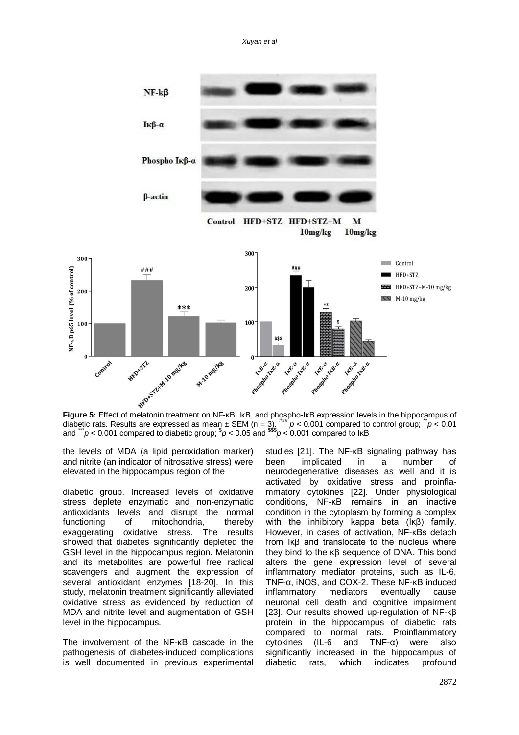*Xuyan et al*



diabetic rats. Results are expressed as mean  $\pm$  SEM (n = 3).  $^{***}$   $p$  < 0.001 compared to control group;  $\ddot{p}$  < 0.01 and \*\*\**p* < 0.001 compared to diabetic group; \$ *p* < 0.05 and \$\$\$*p* < 0.001 compared to IκB

the levels of MDA (a lipid peroxidation marker) and nitrite (an indicator of nitrosative stress) were elevated in the hippocampus region of the

diabetic group. Increased levels of oxidative stress deplete enzymatic and non-enzymatic antioxidants levels and disrupt the normal functioning of mitochondria, thereby exaggerating oxidative stress. The results showed that diabetes significantly depleted the GSH level in the hippocampus region. Melatonin and its metabolites are powerful free radical scavengers and augment the expression of several antioxidant enzymes [18-20]. In this study, melatonin treatment significantly alleviated oxidative stress as evidenced by reduction of MDA and nitrite level and augmentation of GSH level in the hippocampus.

The involvement of the NF-κB cascade in the pathogenesis of diabetes-induced complications is well documented in previous experimental

studies [21]. The NF-κB signaling pathway has been implicated in a number of neurodegenerative diseases as well and it is activated by oxidative stress and proinflammatory cytokines [22]. Under physiological conditions, NF-κB remains in an inactive condition in the cytoplasm by forming a complex with the inhibitory kappa beta (Iκβ) family. However, in cases of activation, NF-κBs detach from Iκβ and translocate to the nucleus where they bind to the κβ sequence of DNA. This bond alters the gene expression level of several inflammatory mediator proteins, such as IL-6, TNF-α, iNOS, and COX-2. These NF-κB induced inflammatory mediators eventually cause neuronal cell death and cognitive impairment [23]. Our results showed up-regulation of NF-κβ protein in the hippocampus of diabetic rats compared to normal rats. Proinflammatory cytokines (IL-6 and TNF-α) were also significantly increased in the hippocampus of diabetic rats, which indicates profound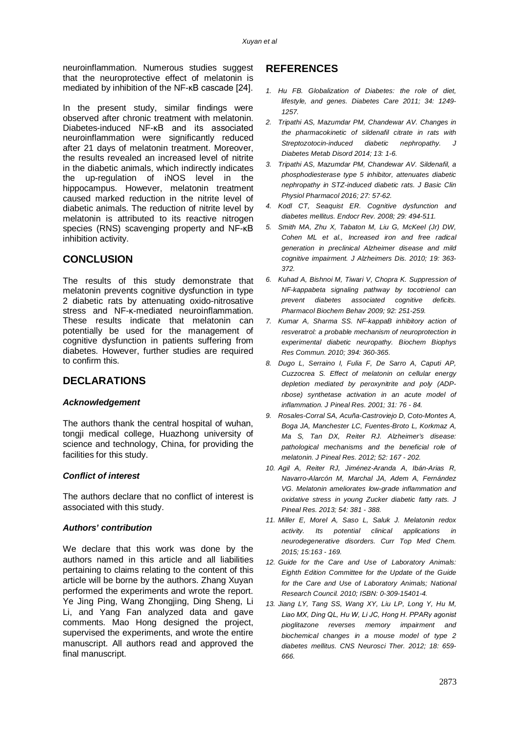neuroinflammation. Numerous studies suggest that the neuroprotective effect of melatonin is mediated by inhibition of the NF-κB cascade [24].

In the present study, similar findings were observed after chronic treatment with melatonin. Diabetes-induced NF-κB and its associated neuroinflammation were significantly reduced after 21 days of melatonin treatment. Moreover, the results revealed an increased level of nitrite in the diabetic animals, which indirectly indicates the up-regulation of iNOS level in the hippocampus. However, melatonin treatment caused marked reduction in the nitrite level of diabetic animals. The reduction of nitrite level by melatonin is attributed to its reactive nitrogen species (RNS) scavenging property and NF-κB inhibition activity.

# **CONCLUSION**

The results of this study demonstrate that melatonin prevents cognitive dysfunction in type 2 diabetic rats by attenuating oxido-nitrosative stress and NF-κ-mediated neuroinflammation. These results indicate that melatonin can potentially be used for the management of cognitive dysfunction in patients suffering from diabetes. However, further studies are required to confirm this.

# **DECLARATIONS**

#### *Acknowledgement*

The authors thank the central hospital of wuhan, tongji medical college, Huazhong university of science and technology, China, for providing the facilities for this study.

# *Conflict of interest*

The authors declare that no conflict of interest is associated with this study.

#### *Authors' contribution*

We declare that this work was done by the authors named in this article and all liabilities pertaining to claims relating to the content of this article will be borne by the authors. Zhang Xuyan performed the experiments and wrote the report. Ye Jing Ping, Wang Zhongjing, Ding Sheng, Li Li, and Yang Fan analyzed data and gave comments. Mao Hong designed the project, supervised the experiments, and wrote the entire manuscript. All authors read and approved the final manuscript.

# **REFERENCES**

- *1. Hu FB. Globalization of Diabetes: the role of diet, lifestyle, and genes. Diabetes Care 2011; 34: 1249- 1257.*
- *2. Tripathi AS, Mazumdar PM, Chandewar AV. Changes in the pharmacokinetic of sildenafil citrate in rats with Streptozotocin-induced diabetic nephropathy. J Diabetes Metab Disord 2014; 13: 1-6.*
- *3. Tripathi AS, Mazumdar PM, Chandewar AV. Sildenafil, a phosphodiesterase type 5 inhibitor, attenuates diabetic nephropathy in STZ-induced diabetic rats. J Basic Clin Physiol Pharmacol 2016; 27: 57-62.*
- *4. Kodl CT, Seaquist ER. Cognitive dysfunction and diabetes mellitus. Endocr Rev. 2008; 29: 494-511.*
- *5. Smith MA, Zhu X, Tabaton M, Liu G, McKeel (Jr) DW, Cohen ML et al., Increased iron and free radical generation in preclinical Alzheimer disease and mild cognitive impairment. J Alzheimers Dis. 2010; 19: 363- 372.*
- *6. Kuhad A, Bishnoi M, Tiwari V, Chopra K. Suppression of NF-kappabeta signaling pathway by tocotrienol can prevent diabetes associated cognitive deficits. Pharmacol Biochem Behav 2009; 92: 251-259.*
- *7. Kumar A, Sharma SS. NF-kappaB inhibitory action of resveratrol: a probable mechanism of neuroprotection in experimental diabetic neuropathy. Biochem Biophys Res Commun. 2010; 394: 360-365.*
- *8. Dugo L, Serraino I, Fulia F, De Sarro A, Caputi AP, Cuzzocrea S. Effect of melatonin on cellular energy depletion mediated by peroxynitrite and poly (ADPribose) synthetase activation in an acute model of inflammation. J Pineal Res. 2001; 31: 76 - 84.*
- *9. Rosales-Corral SA, Acuña-Castroviejo D, Coto-Montes A, Boga JA, Manchester LC, Fuentes-Broto L, Korkmaz A, Ma S, Tan DX, Reiter RJ. Alzheimer's disease: pathological mechanisms and the beneficial role of melatonin. J Pineal Res. 2012; 52: 167 - 202.*
- *10. Agil A, Reiter RJ, Jiménez-Aranda A, Ibán-Arias R, Navarro-Alarcón M, Marchal JA, Adem A, Fernández VG. Melatonin ameliorates low-grade inflammation and oxidative stress in young Zucker diabetic fatty rats. J Pineal Res. 2013; 54: 381 - 388.*
- *11. Miller E, Morel A, Saso L, Saluk J. Melatonin redox activity. Its potential clinical applications in neurodegenerative disorders. Curr Top Med Chem. 2015; 15:163 - 169.*
- *12. Guide for the Care and Use of Laboratory Animals: Eighth Edition Committee for the Update of the Guide for the Care and Use of Laboratory Animals; National Research Council. 2010; ISBN: 0-309-15401-4.*
- *13. Jiang LY, Tang SS, Wang XY, Liu LP, Long Y, Hu M, Liao MX, Ding QL, Hu W, Li JC, Hong H. PPARγ agonist pioglitazone reverses memory impairment and biochemical changes in a mouse model of type 2 diabetes mellitus. CNS Neurosci Ther. 2012; 18: 659- 666.*